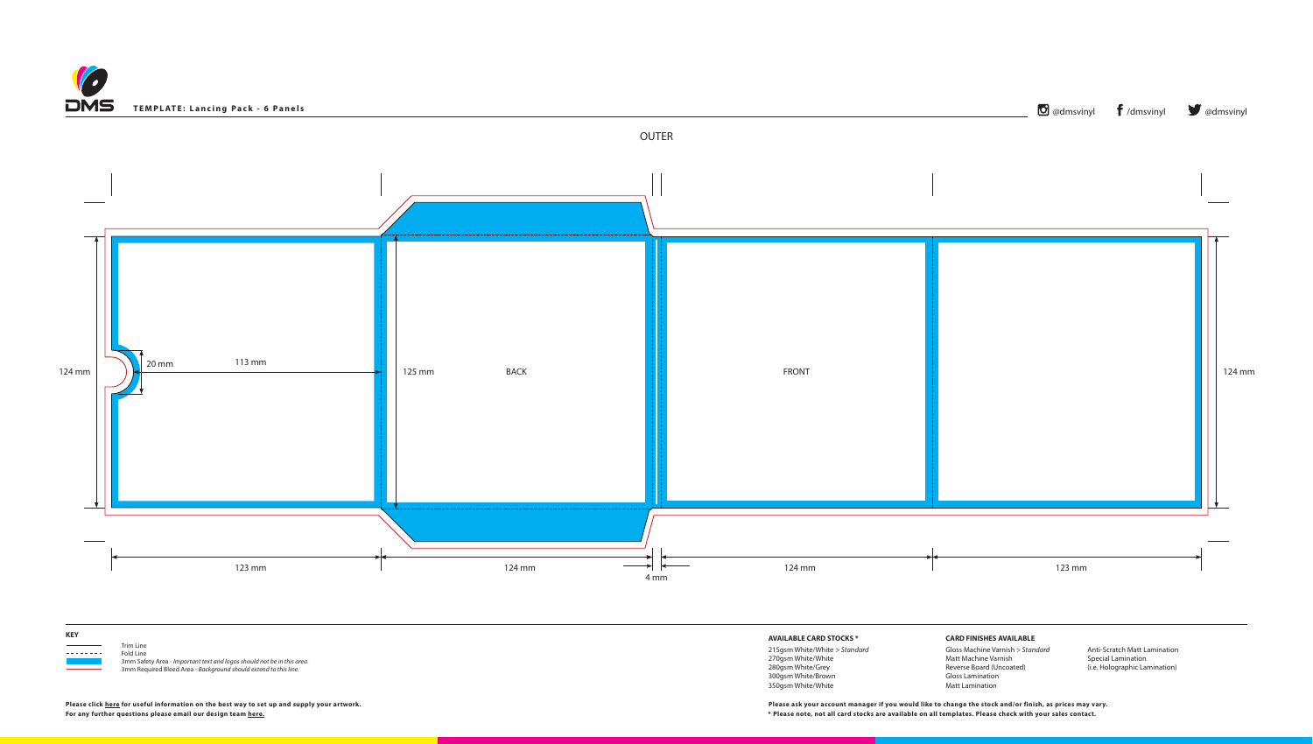



**For any further questions please email our design team [here](mailto:graphics%40discmanufacturingservices.com?subject=Template%20Enquiry). \* Please note, not all card stocks are available on all templates. Please check with your sales contact.**